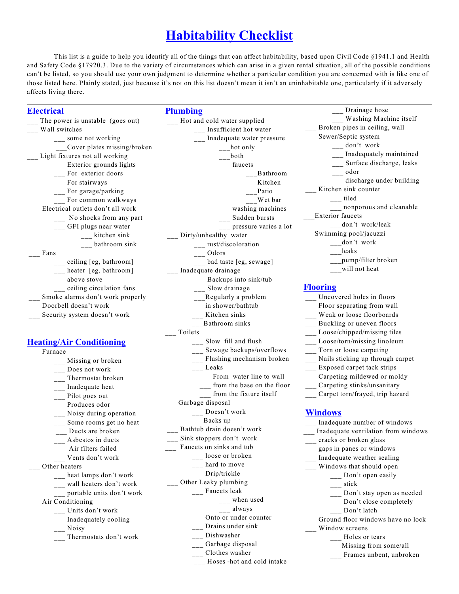# **Habitability Checklist**

This list is a guide to help you identify all of the things that can affect habitability, based upon Civil Code §1941.1 and Health and Safety Code §17920.3. Due to the variety of circumstances which can arise in a given rental situation, all of the possible conditions can't be listed, so you should use your own judgment to determine whether a particular condition you are concerned with is like one of those listed here. Plainly stated, just because it's not on this list doesn't mean it isn't an uninhabitable one, particularly if it adversely affects living there.

# **Electrical**

# **Plumbing**

- The power is unstable (goes out) Wall switches \_\_\_ some not working \_\_\_Cover plates missing/broken Light fixtures not all working \_\_\_ Exterior grounds lights \_\_ For exterior doors \_\_\_ For stairways \_\_\_ For garage/parking For common walkways Electrical outlets don't all work \_\_\_ No shocks from any part \_\_\_ GFI plugs near water \_\_\_ kitchen sink \_\_\_ bathroom sink \_\_\_ Fans \_\_\_ ceiling [eg, bathroom] \_\_ heater [eg, bathroom] \_\_\_ above stove \_\_\_ ceiling circulation fans Smoke alarms don't work properly \_\_\_ Doorbell doesn't work Security system doesn't work **Heating/Air Conditioning** \_\_\_ Furnace Missing or broken Does not work \_\_\_ Thermostat broken Inadequate heat Pilot goes out Produces odor \_\_\_ Noisy during operation \_\_\_ Some rooms get no heat Ducts are broken \_\_\_ Asbestos in ducts \_\_\_ Air filters failed \_\_\_ Vents don't work Other heaters \_\_\_ heat lamps don't work \_\_\_ wall heaters don't work \_\_\_ portable units don't work \_\_\_ Air Conditioning \_\_\_ Units don't work \_\_\_ Inadequately cooling \_\_\_ Noisy Thermostats don't work
- \_\_\_ Hot and cold water supplied \_\_\_ Insufficient hot water \_\_\_ Inadequate water pressure  $\frac{1}{2}$  hot only \_\_\_both \_\_\_ faucets \_\_\_Bathroom \_\_\_Kitchen \_\_\_Patio \_\_\_Wet bar washing machines \_\_\_ Sudden bursts \_\_\_ pressure varies a lot Dirty/unhealthy water \_\_\_ rust/discoloration \_\_\_ Odors \_\_\_ bad taste [eg, sewage] \_\_\_ Inadequate drainage \_\_\_ Backups into sink/tub  $\frac{1}{2}$ Slow drainage \_\_Regularly a problem \_\_\_ in shower/bathtub \_\_\_ Kitchen sinks \_\_\_Bathroom sinks \_\_\_ Toilets  $\frac{1}{1}$ Slow fill and flush \_\_\_ Sewage backups/overflows \_\_\_ Flushing mechanism broken \_\_\_ Leaks \_\_\_ From water line to wall from the base on the floor from the fixture itself \_\_\_ Garbage disposal \_\_\_ Doesn't work \_\_\_Backs up \_\_\_ Bathtub drain doesn't work \_\_\_ Sink stoppers don't work Faucets on sinks and tub \_\_\_ loose or broken \_\_\_ hard to move \_\_ Drip/trickle \_\_\_ Other Leaky plumbing \_\_\_ Faucets leak when used \_\_\_ always \_\_\_ Onto or under counter \_\_\_ Drains under sink \_\_\_ Dishwasher \_\_\_ Garbage disposal \_\_\_ Clothes washer
- \_\_\_ Drainage hose \_\_\_ Washing Machine itself \_\_\_ Broken pipes in ceiling, wall \_\_\_ Sewer/Septic system \_\_\_ don't work \_\_\_ Inadequately maintained \_\_\_ Surface discharge, leaks \_\_\_ odor discharge under building Kitchen sink counter  $\frac{1}{\sqrt{2}}$  tiled \_\_\_ nonporous and cleanable \_\_\_Exterior faucets don't work/leak \_\_\_Swimming pool/jacuzzi \_\_\_don't work \_\_\_leaks \_\_pump/filter broken will not heat

#### **Flooring**

\_\_\_ Uncovered holes in floors \_\_\_ Floor separating from wall

- \_\_\_ Weak or loose floorboards
- \_\_\_ Buckling or uneven floors
- \_\_\_ Loose/chipped/missing tiles
	- \_\_\_ Loose/torn/missing linoleum
	- \_\_\_ Torn or loose carpeting
	- \_\_\_ Nails sticking up through carpet
	- \_\_\_ Exposed carpet tack strips
	- \_\_\_ Carpeting mildewed or moldy
	- \_\_\_ Carpeting stinks/unsanitary
	- \_\_\_ Carpet torn/frayed, trip hazard

### **Windows**

- \_\_\_ Inadequate number of windows \_\_\_ Inadequate ventilation from windows \_\_\_ cracks or broken glass \_\_\_ gaps in panes or windows \_\_\_ Inadequate weather sealing \_\_\_ Windows that should open \_\_\_ Don't open easily \_\_\_ stick \_\_\_ Don't stay open as needed \_\_\_ Don't close completely \_\_\_ Don't latch Ground floor windows have no lock Window screens Holes or tears \_\_\_Missing from some/all
	- \_\_\_ Frames unbent, unbroken
- Hoses -hot and cold intake